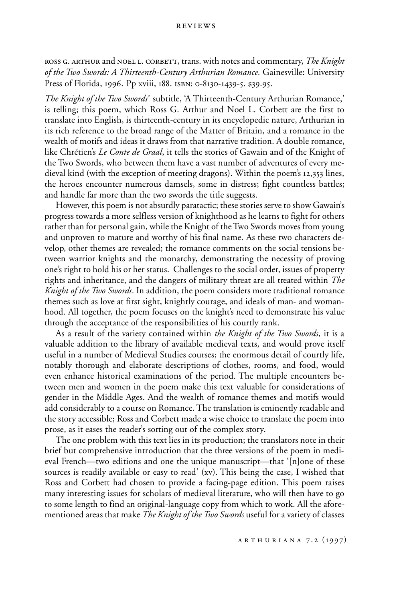ross g. arthur and noel l. corbett, trans. with notes and commentary, *The Knight of the Two Swords: A Thirteenth-Century Arthurian Romance.* Gainesville: University Press of Florida, 1996. Pp xviii, 188. isbn: 0-8130-1439-5. \$39.95.

*The Knight of the Two Swords'* subtitle, 'A Thirteenth-Century Arthurian Romance,' is telling; this poem, which Ross G. Arthur and Noel L. Corbett are the first to translate into English, is thirteenth-century in its encyclopedic nature, Arthurian in its rich reference to the broad range of the Matter of Britain, and a romance in the wealth of motifs and ideas it draws from that narrative tradition. A double romance, like Chrétien's *Le Conte de Graal*, it tells the stories of Gawain and of the Knight of the Two Swords, who between them have a vast number of adventures of every medieval kind (with the exception of meeting dragons). Within the poem's 12,353 lines, the heroes encounter numerous damsels, some in distress; fight countless battles; and handle far more than the two swords the title suggests.

However, this poem is not absurdly paratactic; these stories serve to show Gawain's progress towards a more selfless version of knighthood as he learns to fight for others rather than for personal gain, while the Knight of the Two Swords moves from young and unproven to mature and worthy of his final name. As these two characters develop, other themes are revealed; the romance comments on the social tensions between warrior knights and the monarchy, demonstrating the necessity of proving one's right to hold his or her status. Challenges to the social order, issues of property rights and inheritance, and the dangers of military threat are all treated within *The Knight of the Two Swords*. In addition, the poem considers more traditional romance themes such as love at first sight, knightly courage, and ideals of man- and womanhood. All together, the poem focuses on the knight's need to demonstrate his value through the acceptance of the responsibilities of his courtly rank.

As a result of the variety contained within *the Knight of the Two Swords*, it is a valuable addition to the library of available medieval texts, and would prove itself useful in a number of Medieval Studies courses; the enormous detail of courtly life, notably thorough and elaborate descriptions of clothes, rooms, and food, would even enhance historical examinations of the period. The multiple encounters between men and women in the poem make this text valuable for considerations of gender in the Middle Ages. And the wealth of romance themes and motifs would add considerably to a course on Romance. The translation is eminently readable and the story accessible; Ross and Corbett made a wise choice to translate the poem into prose, as it eases the reader's sorting out of the complex story.

The one problem with this text lies in its production; the translators note in their brief but comprehensive introduction that the three versions of the poem in medieval French—two editions and one the unique manuscript—that '[n]one of these sources is readily available or easy to read' (xv). This being the case, I wished that Ross and Corbett had chosen to provide a facing-page edition. This poem raises many interesting issues for scholars of medieval literature, who will then have to go to some length to find an original-language copy from which to work. All the aforementioned areas that make *The Knight of the Two Swords* useful for a variety of classes